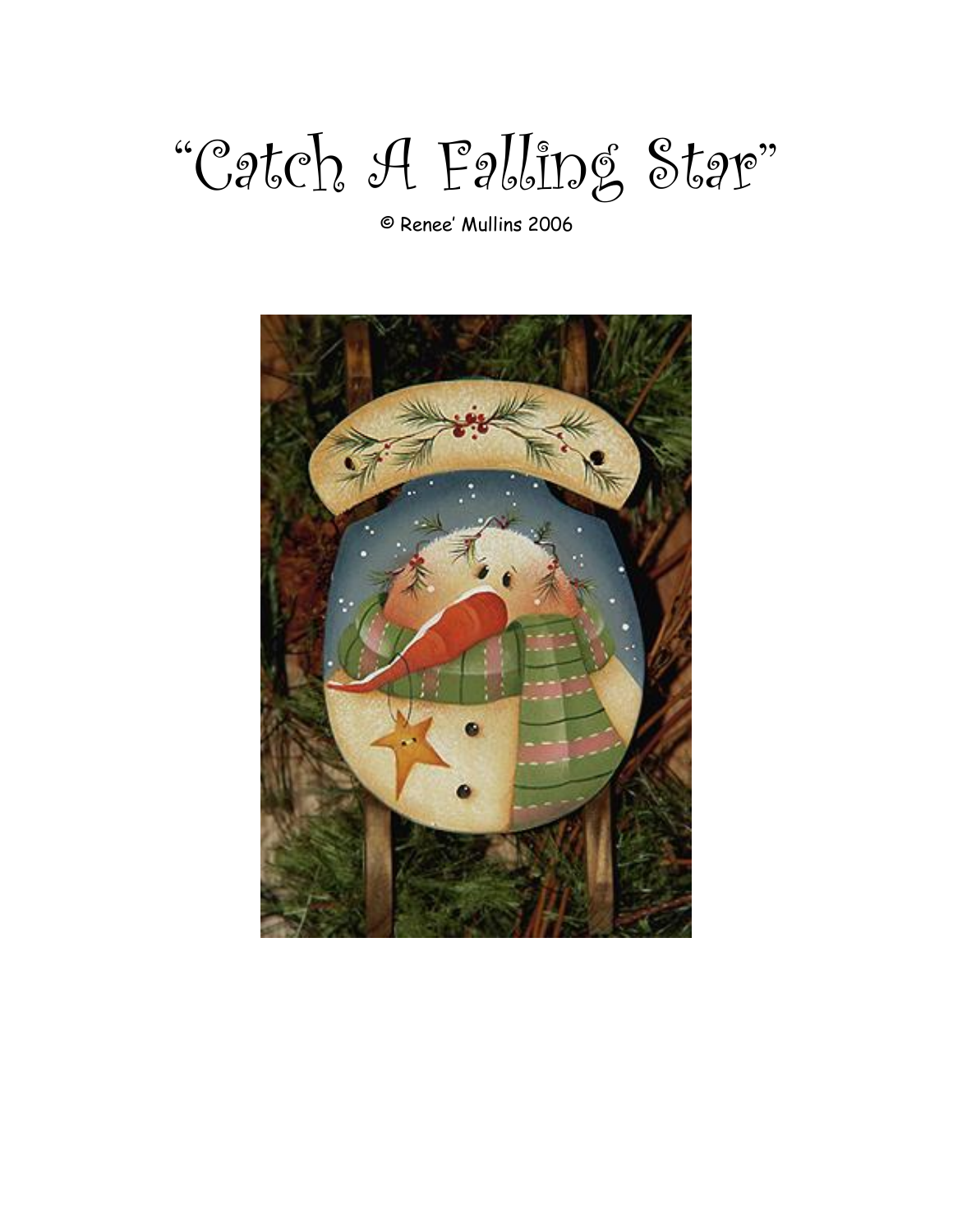# "Catch A Falling Star"

© Renee' Mullins 2006

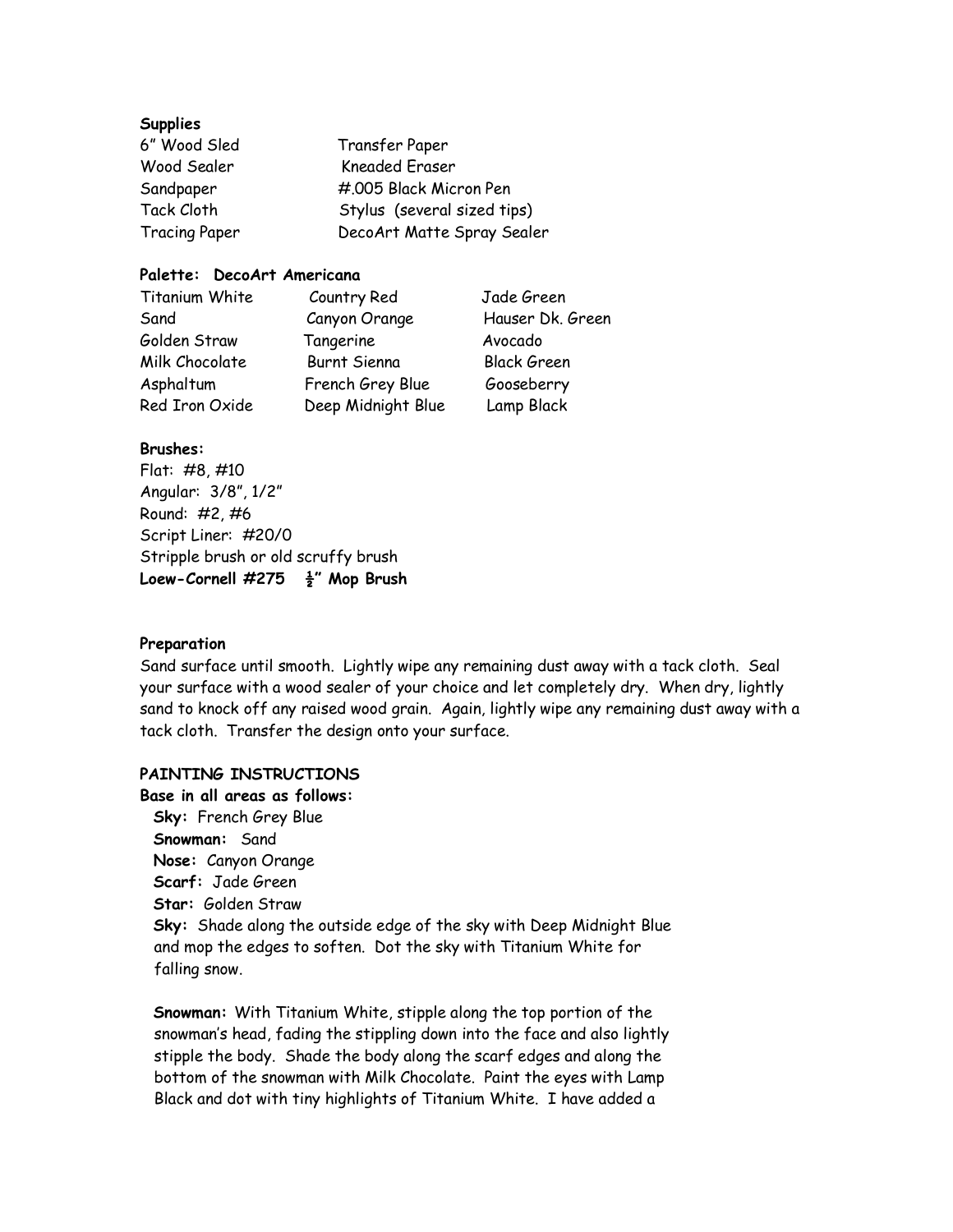#### **Supplies**

| 6" Wood Sled         | Transfer Paper              |  |
|----------------------|-----------------------------|--|
| Wood Sealer          | <b>Kneaded Eraser</b>       |  |
| Sandpaper            | #.005 Black Micron Pen      |  |
| Tack Cloth           | Stylus (several sized tips) |  |
| <b>Tracing Paper</b> | DecoArt Matte Spray Sealer  |  |

## **Palette: DecoArt Americana**

| Titanium White | Country Red        | Jade Green         |
|----------------|--------------------|--------------------|
| Sand           | Canyon Orange      | Hauser Dk. Green   |
| Golden Straw   | Tangerine          | Avocado            |
| Milk Chocolate | Burnt Sienna       | <b>Black Green</b> |
| Asphaltum      | French Grey Blue   | Gooseberry         |
| Red Iron Oxide | Deep Midnight Blue | Lamp Black         |

#### **Brushes:**

Flat: #8, #10 Angular: 3/8", 1/2" Round: #2, #6 Script Liner: #20/0 Stripple brush or old scruffy brush **Loew-Cornell #275 ½" Mop Brush** 

#### **Preparation**

Sand surface until smooth. Lightly wipe any remaining dust away with a tack cloth. Seal your surface with a wood sealer of your choice and let completely dry. When dry, lightly sand to knock off any raised wood grain. Again, lightly wipe any remaining dust away with a tack cloth. Transfer the design onto your surface.

### **PAINTING INSTRUCTIONS**

**Base in all areas as follows: Sky:** French Grey Blue **Snowman:** Sand **Nose:** Canyon Orange **Scarf:** Jade Green **Star:** Golden Straw **Sky:** Shade along the outside edge of the sky with Deep Midnight Blue and mop the edges to soften. Dot the sky with Titanium White for falling snow.

**Snowman:** With Titanium White, stipple along the top portion of the snowman's head, fading the stippling down into the face and also lightly stipple the body. Shade the body along the scarf edges and along the bottom of the snowman with Milk Chocolate. Paint the eyes with Lamp Black and dot with tiny highlights of Titanium White. I have added a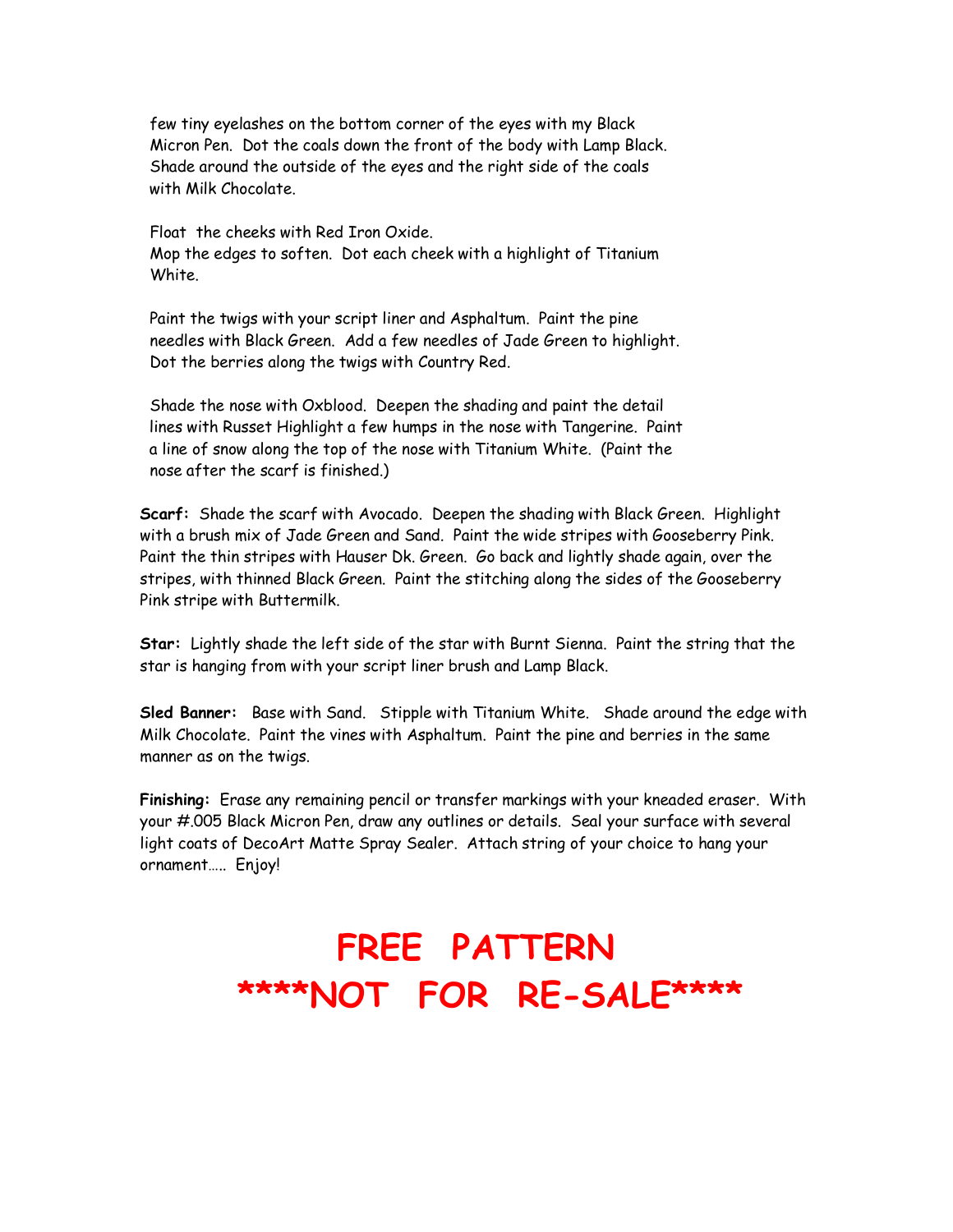few tiny eyelashes on the bottom corner of the eyes with my Black Micron Pen. Dot the coals down the front of the body with Lamp Black. Shade around the outside of the eyes and the right side of the coals with Milk Chocolate.

Float the cheeks with Red Iron Oxide. Mop the edges to soften. Dot each cheek with a highlight of Titanium White.

Paint the twigs with your script liner and Asphaltum. Paint the pine needles with Black Green. Add a few needles of Jade Green to highlight. Dot the berries along the twigs with Country Red.

Shade the nose with Oxblood. Deepen the shading and paint the detail lines with Russet Highlight a few humps in the nose with Tangerine. Paint a line of snow along the top of the nose with Titanium White. (Paint the nose after the scarf is finished.)

**Scarf:** Shade the scarf with Avocado. Deepen the shading with Black Green. Highlight with a brush mix of Jade Green and Sand. Paint the wide stripes with Gooseberry Pink. Paint the thin stripes with Hauser Dk. Green. Go back and lightly shade again, over the stripes, with thinned Black Green. Paint the stitching along the sides of the Gooseberry Pink stripe with Buttermilk.

**Star:** Lightly shade the left side of the star with Burnt Sienna. Paint the string that the star is hanging from with your script liner brush and Lamp Black.

**Sled Banner:** Base with Sand. Stipple with Titanium White. Shade around the edge with Milk Chocolate. Paint the vines with Asphaltum. Paint the pine and berries in the same manner as on the twigs.

**Finishing:** Erase any remaining pencil or transfer markings with your kneaded eraser. With your #.005 Black Micron Pen, draw any outlines or details. Seal your surface with several light coats of DecoArt Matte Spray Sealer. Attach string of your choice to hang your ornament….. Enjoy!

## **FREE PATTERN \*\*\*\*NOT FOR RE-SALE\*\*\*\***